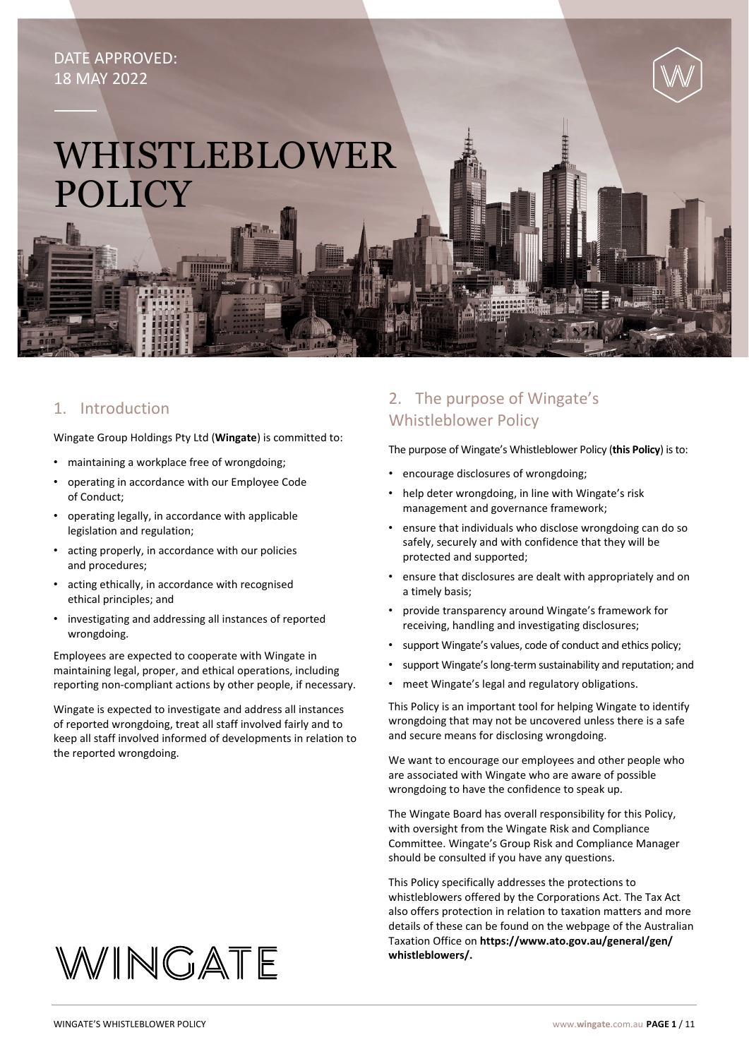# DATE APPROVED: 18 MAY 2022

# WHISTLEBLOWER POLICY

# 1. Introduction

Wingate Group Holdings Pty Ltd (**Wingate**) is committed to:

- maintaining a workplace free of wrongdoing;
- operating in accordance with our Employee Code of Conduct;
- operating legally, in accordance with applicable legislation and regulation;
- acting properly, in accordance with our policies and procedures;
- acting ethically, in accordance with recognised ethical principles; and
- investigating and addressing all instances of reported wrongdoing.

Employees are expected to cooperate with Wingate in maintaining legal, proper, and ethical operations, including reporting non-compliant actions by other people, if necessary.

Wingate is expected to investigate and address all instances of reported wrongdoing, treat all staff involved fairly and to keep all staff involved informed of developments in relation to the reported wrongdoing.

# 2. The purpose of Wingate's Whistleblower Policy

The purpose of Wingate's Whistleblower Policy (**this Policy**) is to:

- encourage disclosures of wrongdoing;
- help deter wrongdoing, in line with Wingate's risk management and governance framework;
- ensure that individuals who disclose wrongdoing can do so safely, securely and with confidence that they will be protected and supported;
- ensure that disclosures are dealt with appropriately and on a timely basis;
- provide transparency around Wingate's framework for receiving, handling and investigating disclosures;
- support Wingate's values, code of conduct and ethics policy;
- support Wingate's long-term sustainability and reputation; and
- meet Wingate's legal and regulatory obligations.

This Policy is an important tool for helping Wingate to identify wrongdoing that may not be uncovered unless there is a safe and secure means for disclosing wrongdoing.

We want to encourage our employees and other people who are associated with Wingate who are aware of possible wrongdoing to have the confidence to speak up.

The Wingate Board has overall responsibility for this Policy, with oversight from the Wingate Risk and Compliance Committee. Wingate's Group Risk and Compliance Manager should be consulted if you have any questions.

This Policy specifically addresses the protections to whistleblowers offered by the Corporations Act. The Tax Act also offers protection in relation to taxation matters and more details of these can be found on the webpage of the Australian Taxation Office on **[https://www.ato.gov.au/general/gen/](https://www.ato.gov.au/general/gen/whistleblowers/) [whistleblowers/.](https://www.ato.gov.au/general/gen/whistleblowers/)**

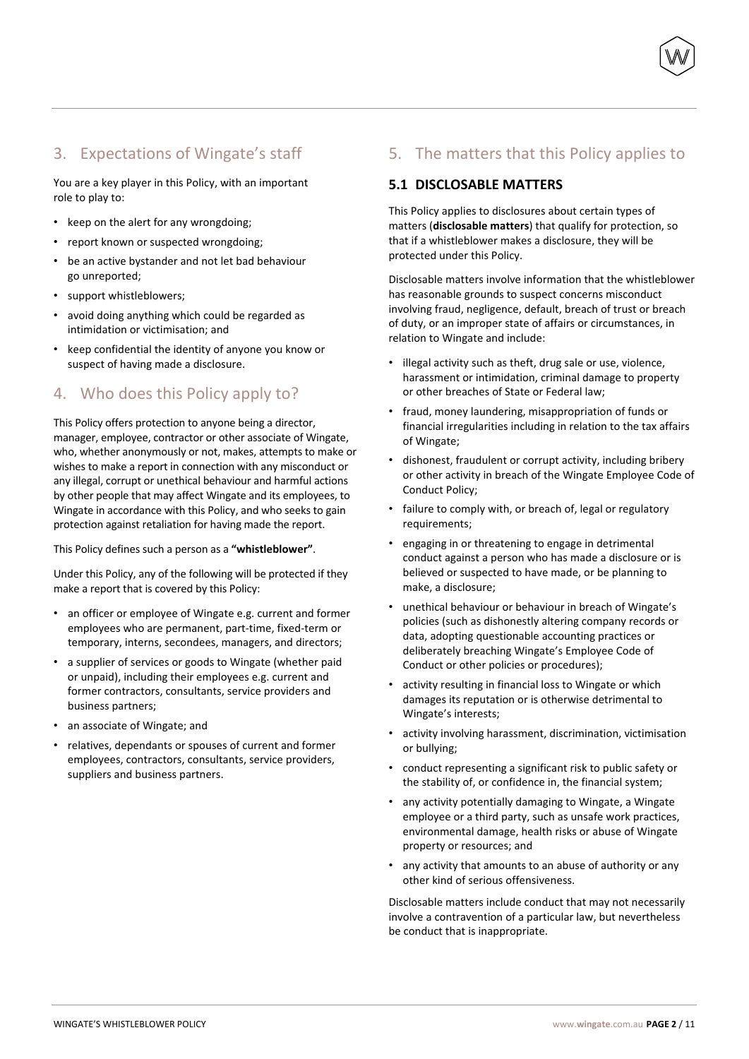# 3. Expectations of Wingate's staff

You are a key player in this Policy, with an important role to play to:

- keep on the alert for any wrongdoing;
- report known or suspected wrongdoing;
- be an active bystander and not let bad behaviour go unreported;
- support whistleblowers;
- avoid doing anything which could be regarded as intimidation or victimisation; and
- keep confidential the identity of anyone you know or suspect of having made a disclosure.

# 4. Who does this Policy apply to?

This Policy offers protection to anyone being a director, manager, employee, contractor or other associate of Wingate, who, whether anonymously or not, makes, attempts to make or wishes to make a report in connection with any misconduct or any illegal, corrupt or unethical behaviour and harmful actions by other people that may affect Wingate and its employees, to Wingate in accordance with this Policy, and who seeks to gain protection against retaliation for having made the report.

This Policy defines such a person as a **"whistleblower"**.

Under this Policy, any of the following will be protected if they make a report that is covered by this Policy:

- an officer or employee of Wingate e.g. current and former employees who are permanent, part-time, fixed-term or temporary, interns, secondees, managers, and directors;
- a supplier of services or goods to Wingate (whether paid or unpaid), including their employees e.g. current and former contractors, consultants, service providers and business partners;
- an associate of Wingate; and
- relatives, dependants or spouses of current and former employees, contractors, consultants, service providers, suppliers and business partners.

# 5. The matters that this Policy applies to

#### **5.1 DISCLOSABLE MATTERS**

This Policy applies to disclosures about certain types of matters (**disclosable matters**) that qualify for protection, so that if a whistleblower makes a disclosure, they will be protected under this Policy.

Disclosable matters involve information that the whistleblower has reasonable grounds to suspect concerns misconduct involving fraud, negligence, default, breach of trust or breach of duty, or an improper state of affairs or circumstances, in relation to Wingate and include:

- illegal activity such as theft, drug sale or use, violence, harassment or intimidation, criminal damage to property or other breaches of State or Federal law;
- fraud, money laundering, misappropriation of funds or financial irregularities including in relation to the tax affairs of Wingate;
- dishonest, fraudulent or corrupt activity, including bribery or other activity in breach of the Wingate Employee Code of Conduct Policy;
- failure to comply with, or breach of, legal or regulatory requirements;
- engaging in or threatening to engage in detrimental conduct against a person who has made a disclosure or is believed or suspected to have made, or be planning to make, a disclosure;
- unethical behaviour or behaviour in breach of Wingate's policies (such as dishonestly altering company records or data, adopting questionable accounting practices or deliberately breaching Wingate's Employee Code of Conduct or other policies or procedures);
- activity resulting in financial loss to Wingate or which damages its reputation or is otherwise detrimental to Wingate's interests;
- activity involving harassment, discrimination, victimisation or bullying;
- conduct representing a significant risk to public safety or the stability of, or confidence in, the financial system;
- any activity potentially damaging to Wingate, a Wingate employee or a third party, such as unsafe work practices, environmental damage, health risks or abuse of Wingate property or resources; and
- any activity that amounts to an abuse of authority or any other kind of serious offensiveness.

Disclosable matters include conduct that may not necessarily involve a contravention of a particular law, but nevertheless be conduct that is inappropriate.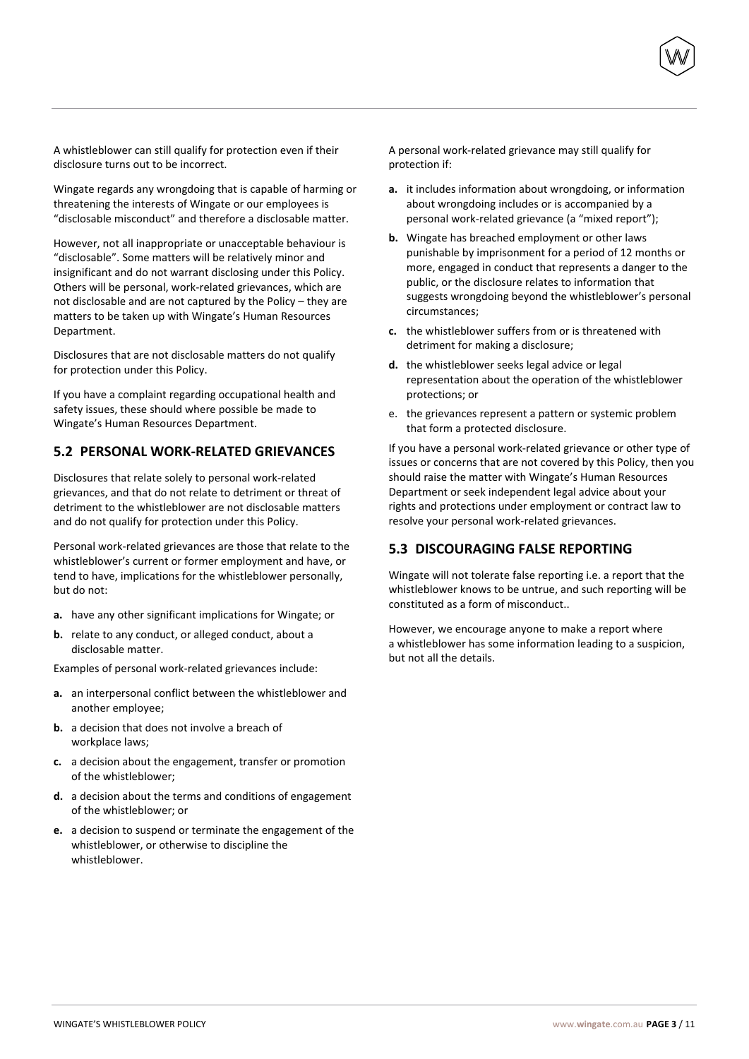A whistleblower can still qualify for protection even if their disclosure turns out to be incorrect.

Wingate regards any wrongdoing that is capable of harming or threatening the interests of Wingate or our employees is "disclosable misconduct" and therefore a disclosable matter.

However, not all inappropriate or unacceptable behaviour is "disclosable". Some matters will be relatively minor and insignificant and do not warrant disclosing under this Policy. Others will be personal, work-related grievances, which are not disclosable and are not captured by the Policy – they are matters to be taken up with Wingate's Human Resources Department.

Disclosures that are not disclosable matters do not qualify for protection under this Policy.

If you have a complaint regarding occupational health and safety issues, these should where possible be made to Wingate's Human Resources Department.

#### **5.2 PERSONAL WORK-RELATED GRIEVANCES**

Disclosures that relate solely to personal work-related grievances, and that do not relate to detriment or threat of detriment to the whistleblower are not disclosable matters and do not qualify for protection under this Policy.

Personal work-related grievances are those that relate to the whistleblower's current or former employment and have, or tend to have, implications for the whistleblower personally, but do not:

- **a.** have any other significant implications for Wingate; or
- **b.** relate to any conduct, or alleged conduct, about a disclosable matter.

Examples of personal work-related grievances include:

- **a.** an interpersonal conflict between the whistleblower and another employee;
- **b.** a decision that does not involve a breach of workplace laws;
- **c.** a decision about the engagement, transfer or promotion of the whistleblower;
- **d.** a decision about the terms and conditions of engagement of the whistleblower; or
- **e.** a decision to suspend or terminate the engagement of the whistleblower, or otherwise to discipline the whistleblower.

A personal work-related grievance may still qualify for protection if:

- **a.** it includes information about wrongdoing, or information about wrongdoing includes or is accompanied by a personal work-related grievance (a "mixed report");
- **b.** Wingate has breached employment or other laws punishable by imprisonment for a period of 12 months or more, engaged in conduct that represents a danger to the public, or the disclosure relates to information that suggests wrongdoing beyond the whistleblower's personal circumstances;
- **c.** the whistleblower suffers from or is threatened with detriment for making a disclosure;
- **d.** the whistleblower seeks legal advice or legal representation about the operation of the whistleblower protections; or
- e. the grievances represent a pattern or systemic problem that form a protected disclosure.

If you have a personal work-related grievance or other type of issues or concerns that are not covered by this Policy, then you should raise the matter with Wingate's Human Resources Department or seek independent legal advice about your rights and protections under employment or contract law to resolve your personal work-related grievances.

#### **5.3 DISCOURAGING FALSE REPORTING**

Wingate will not tolerate false reporting i.e. a report that the whistleblower knows to be untrue, and such reporting will be constituted as a form of misconduct..

However, we encourage anyone to make a report where a whistleblower has some information leading to a suspicion, but not all the details.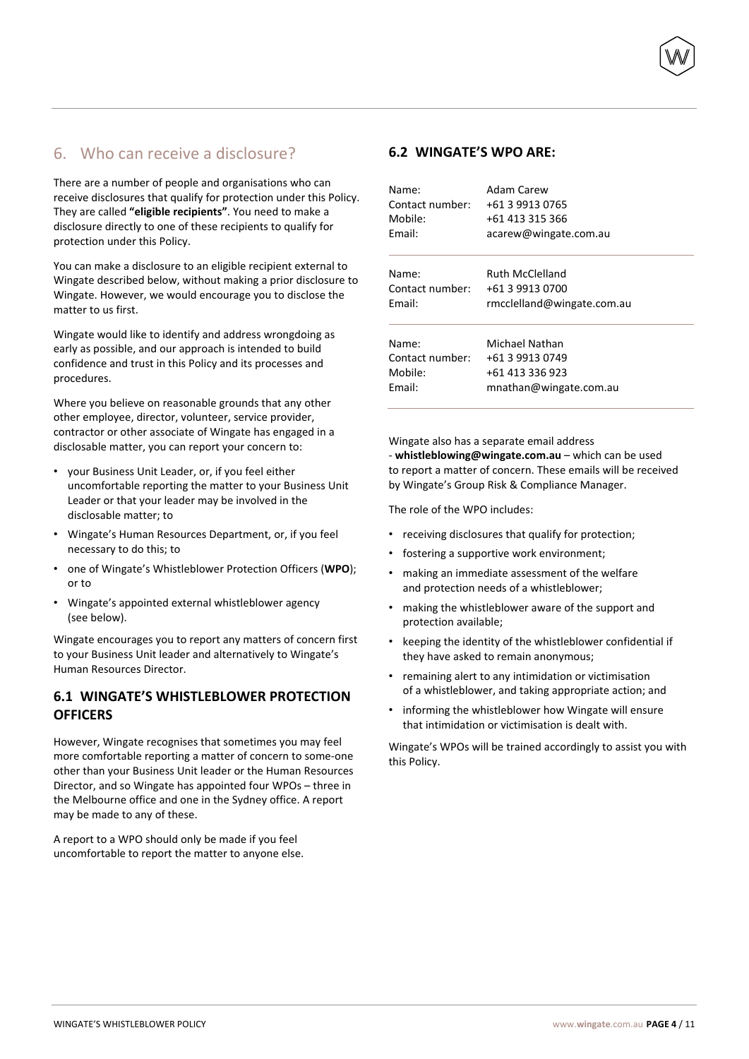# 6. Who can receive a disclosure?

There are a number of people and organisations who can receive disclosures that qualify for protection under this Policy. They are called **"eligible recipients"**. You need to make a disclosure directly to one of these recipients to qualify for protection under this Policy.

You can make a disclosure to an eligible recipient external to Wingate described below, without making a prior disclosure to Wingate. However, we would encourage you to disclose the matter to us first.

Wingate would like to identify and address wrongdoing as early as possible, and our approach is intended to build confidence and trust in this Policy and its processes and procedures.

Where you believe on reasonable grounds that any other other employee, director, volunteer, service provider, contractor or other associate of Wingate has engaged in a disclosable matter, you can report your concern to:

- your Business Unit Leader, or, if you feel either uncomfortable reporting the matter to your Business Unit Leader or that your leader may be involved in the disclosable matter; to
- Wingate's Human Resources Department, or, if you feel necessary to do this; to
- one of Wingate's Whistleblower Protection Officers (**WPO**); or to
- Wingate's appointed external whistleblower agency (see below).

Wingate encourages you to report any matters of concern first to your Business Unit leader and alternatively to Wingate's Human Resources Director.

## **6.1 WINGATE'S WHISTLEBLOWER PROTECTION OFFICERS**

However, Wingate recognises that sometimes you may feel more comfortable reporting a matter of concern to some-one other than your Business Unit leader or the Human Resources Director, and so Wingate has appointed four WPOs – three in the Melbourne office and one in the Sydney office. A report may be made to any of these.

A report to a WPO should only be made if you feel uncomfortable to report the matter to anyone else.

#### **6.2 WINGATE'S WPO ARE:**

| Name:           | Adam Carew                 |
|-----------------|----------------------------|
| Contact number: | +61 3 9913 0765            |
| Mobile:         | +61 413 315 366            |
| Fmail:          | acarew@wingate.com.au      |
| Name:           | <b>Ruth McClelland</b>     |
| Contact number: | +61 3 9913 0700            |
| Fmail:          | rmcclelland@wingate.com.au |
| Name:           | Michael Nathan             |
| Contact number: | +61 3 9913 0749            |
| Mobile:         | +61 413 336 923            |
| Fmail:          | mnathan@wingate.com.au     |

Wingate also has a separate email address - **whistleblowing@wingate.com.au** – which can be used to report a matter of concern. These emails will be received by Wingate's Group Risk & Compliance Manager.

The role of the WPO includes:

- receiving disclosures that qualify for protection;
- fostering a supportive work environment;
- making an immediate assessment of the welfare and protection needs of a whistleblower;
- making the whistleblower aware of the support and protection available;
- keeping the identity of the whistleblower confidential if they have asked to remain anonymous;
- remaining alert to any intimidation or victimisation of a whistleblower, and taking appropriate action; and
- informing the whistleblower how Wingate will ensure that intimidation or victimisation is dealt with.

Wingate's WPOs will be trained accordingly to assist you with this Policy.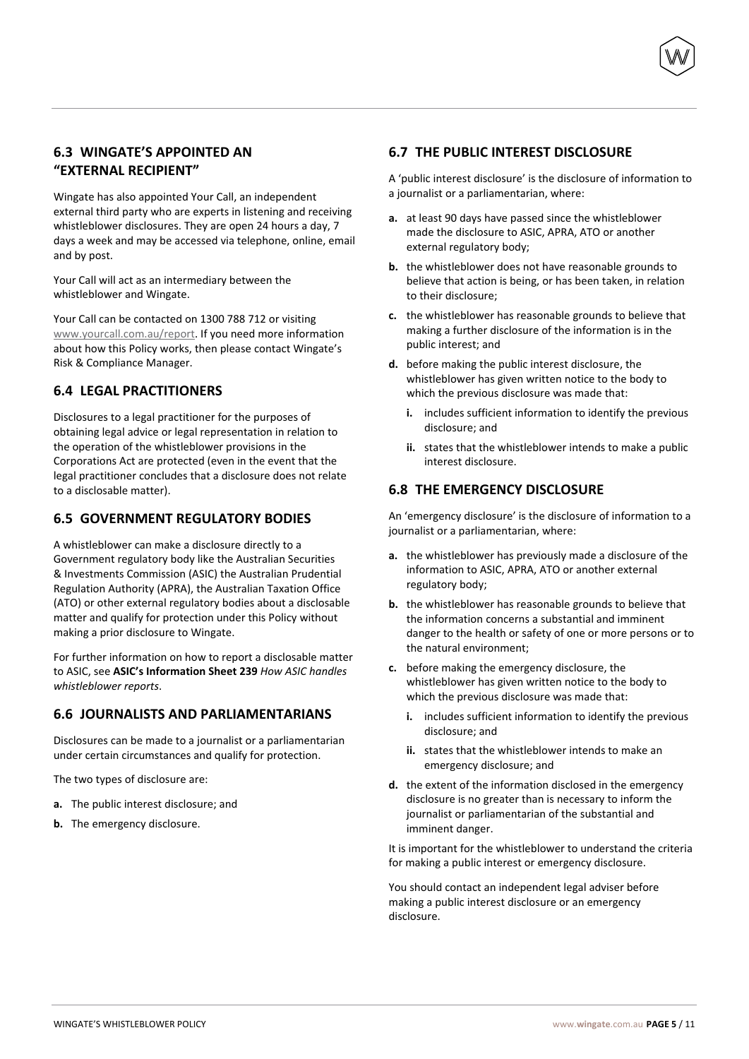## **6.3 WINGATE'S APPOINTED AN "EXTERNAL RECIPIENT"**

Wingate has also appointed Your Call, an independent external third party who are experts in listening and receiving whistleblower disclosures. They are open 24 hours a day, 7 days a week and may be accessed via telephone, online, email and by post.

Your Call will act as an intermediary between the whistleblower and Wingate.

Your Call can be contacted on 1300 788 712 or visiting [www.yourcall.com.au/report.](http://www.yourcall.com.au/report) If you need more information about how this Policy works, then please contact Wingate's Risk & Compliance Manager.

## **6.4 LEGAL PRACTITIONERS**

Disclosures to a legal practitioner for the purposes of obtaining legal advice or legal representation in relation to the operation of the whistleblower provisions in the Corporations Act are protected (even in the event that the legal practitioner concludes that a disclosure does not relate to a disclosable matter).

## **6.5 GOVERNMENT REGULATORY BODIES**

A whistleblower can make a disclosure directly to a Government regulatory body like the Australian Securities & Investments Commission (ASIC) the Australian Prudential Regulation Authority (APRA), the Australian Taxation Office (ATO) or other external regulatory bodies about a disclosable matter and qualify for protection under this Policy without making a prior disclosure to Wingate.

For further information on how to report a disclosable matter to ASIC, see **ASIC's Information Sheet 239** *How ASIC handles whistleblower reports*.

#### **6.6 JOURNALISTS AND PARLIAMENTARIANS**

Disclosures can be made to a journalist or a parliamentarian under certain circumstances and qualify for protection.

The two types of disclosure are:

- **a.** The public interest disclosure; and
- **b.** The emergency disclosure.

#### **6.7 THE PUBLIC INTEREST DISCLOSURE**

A 'public interest disclosure' is the disclosure of information to a journalist or a parliamentarian, where:

- **a.** at least 90 days have passed since the whistleblower made the disclosure to ASIC, APRA, ATO or another external regulatory body;
- **b.** the whistleblower does not have reasonable grounds to believe that action is being, or has been taken, in relation to their disclosure;
- **c.** the whistleblower has reasonable grounds to believe that making a further disclosure of the information is in the public interest; and
- **d.** before making the public interest disclosure, the whistleblower has given written notice to the body to which the previous disclosure was made that:
	- **i.** includes sufficient information to identify the previous disclosure; and
	- **ii.** states that the whistleblower intends to make a public interest disclosure.

## **6.8 THE EMERGENCY DISCLOSURE**

An 'emergency disclosure' is the disclosure of information to a journalist or a parliamentarian, where:

- **a.** the whistleblower has previously made a disclosure of the information to ASIC, APRA, ATO or another external regulatory body;
- **b.** the whistleblower has reasonable grounds to believe that the information concerns a substantial and imminent danger to the health or safety of one or more persons or to the natural environment;
- **c.** before making the emergency disclosure, the whistleblower has given written notice to the body to which the previous disclosure was made that:
	- **i.** includes sufficient information to identify the previous disclosure; and
	- **ii.** states that the whistleblower intends to make an emergency disclosure; and
- **d.** the extent of the information disclosed in the emergency disclosure is no greater than is necessary to inform the journalist or parliamentarian of the substantial and imminent danger.

It is important for the whistleblower to understand the criteria for making a public interest or emergency disclosure.

You should contact an independent legal adviser before making a public interest disclosure or an emergency disclosure.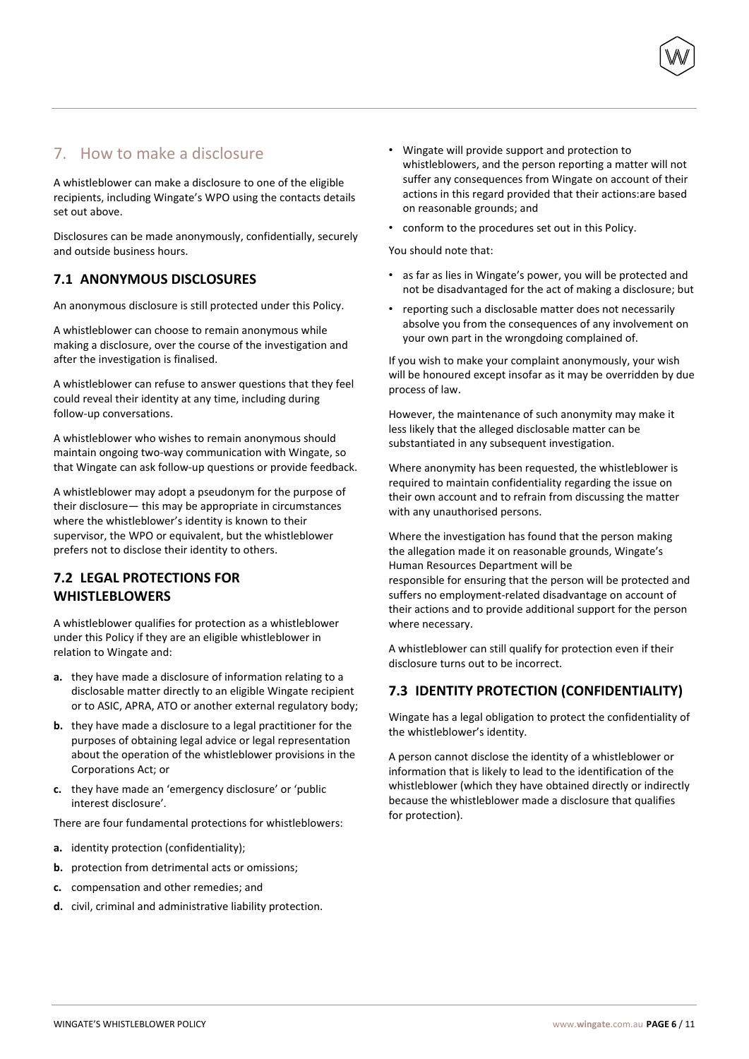# 7. How to make a disclosure

A whistleblower can make a disclosure to one of the eligible recipients, including Wingate's WPO using the contacts details set out above.

Disclosures can be made anonymously, confidentially, securely and outside business hours.

## **7.1 ANONYMOUS DISCLOSURES**

An anonymous disclosure is still protected under this Policy.

A whistleblower can choose to remain anonymous while making a disclosure, over the course of the investigation and after the investigation is finalised.

A whistleblower can refuse to answer questions that they feel could reveal their identity at any time, including during follow-up conversations.

A whistleblower who wishes to remain anonymous should maintain ongoing two-way communication with Wingate, so that Wingate can ask follow-up questions or provide feedback.

A whistleblower may adopt a pseudonym for the purpose of their disclosure— this may be appropriate in circumstances where the whistleblower's identity is known to their supervisor, the WPO or equivalent, but the whistleblower prefers not to disclose their identity to others.

## **7.2 LEGAL PROTECTIONS FOR WHISTLEBLOWERS**

A whistleblower qualifies for protection as a whistleblower under this Policy if they are an eligible whistleblower in relation to Wingate and:

- **a.** they have made a disclosure of information relating to a disclosable matter directly to an eligible Wingate recipient or to ASIC, APRA, ATO or another external regulatory body;
- **b.** they have made a disclosure to a legal practitioner for the purposes of obtaining legal advice or legal representation about the operation of the whistleblower provisions in the Corporations Act; or
- **c.** they have made an 'emergency disclosure' or 'public interest disclosure'.

There are four fundamental protections for whistleblowers:

- **a.** identity protection (confidentiality);
- **b.** protection from detrimental acts or omissions;
- **c.** compensation and other remedies; and
- **d.** civil, criminal and administrative liability protection.
- Wingate will provide support and protection to whistleblowers, and the person reporting a matter will not suffer any consequences from Wingate on account of their actions in this regard provided that their actions:are based on reasonable grounds; and
- conform to the procedures set out in this Policy.

You should note that:

- as far as lies in Wingate's power, you will be protected and not be disadvantaged for the act of making a disclosure; but
- reporting such a disclosable matter does not necessarily absolve you from the consequences of any involvement on your own part in the wrongdoing complained of.

If you wish to make your complaint anonymously, your wish will be honoured except insofar as it may be overridden by due process of law.

However, the maintenance of such anonymity may make it less likely that the alleged disclosable matter can be substantiated in any subsequent investigation.

Where anonymity has been requested, the whistleblower is required to maintain confidentiality regarding the issue on their own account and to refrain from discussing the matter with any unauthorised persons.

Where the investigation has found that the person making the allegation made it on reasonable grounds, Wingate's Human Resources Department will be responsible for ensuring that the person will be protected and suffers no employment-related disadvantage on account of

their actions and to provide additional support for the person where necessary.

A whistleblower can still qualify for protection even if their disclosure turns out to be incorrect.

## **7.3 IDENTITY PROTECTION (CONFIDENTIALITY)**

Wingate has a legal obligation to protect the confidentiality of the whistleblower's identity.

A person cannot disclose the identity of a whistleblower or information that is likely to lead to the identification of the whistleblower (which they have obtained directly or indirectly because the whistleblower made a disclosure that qualifies for protection).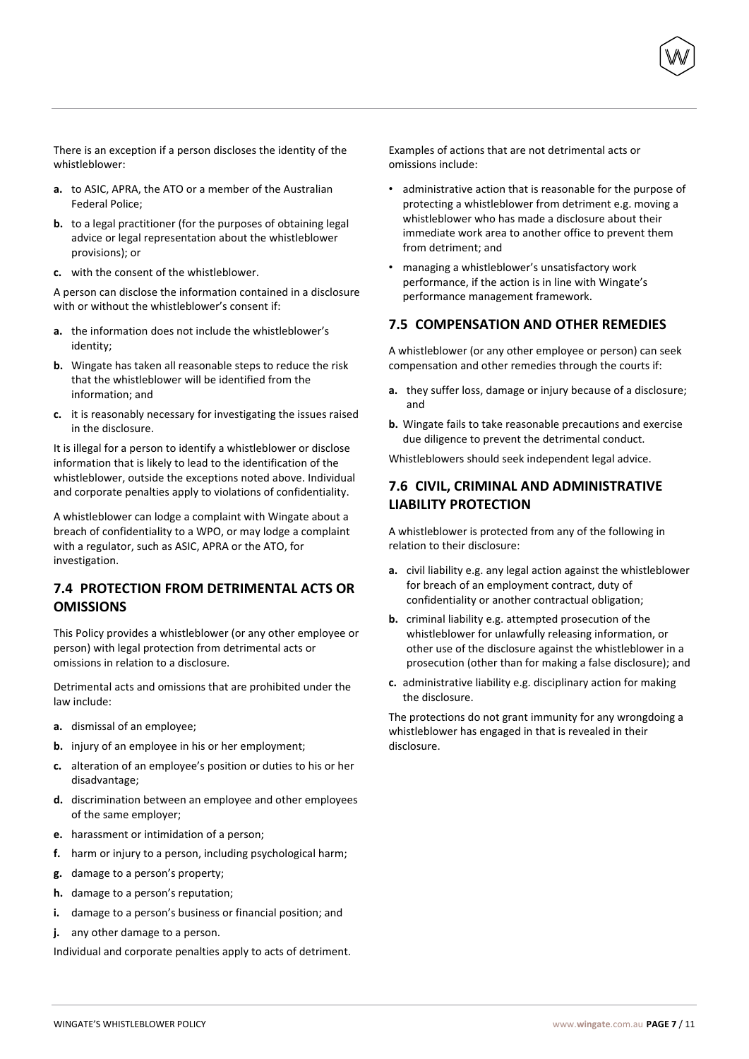There is an exception if a person discloses the identity of the whistleblower:

- **a.** to ASIC, APRA, the ATO or a member of the Australian Federal Police;
- **b.** to a legal practitioner (for the purposes of obtaining legal advice or legal representation about the whistleblower provisions); or
- **c.** with the consent of the whistleblower.

A person can disclose the information contained in a disclosure with or without the whistleblower's consent if:

- **a.** the information does not include the whistleblower's identity;
- **b.** Wingate has taken all reasonable steps to reduce the risk that the whistleblower will be identified from the information; and
- **c.** it is reasonably necessary for investigating the issues raised in the disclosure.

It is illegal for a person to identify a whistleblower or disclose information that is likely to lead to the identification of the whistleblower, outside the exceptions noted above. Individual and corporate penalties apply to violations of confidentiality.

A whistleblower can lodge a complaint with Wingate about a breach of confidentiality to a WPO, or may lodge a complaint with a regulator, such as ASIC, APRA or the ATO, for investigation.

## **7.4 PROTECTION FROM DETRIMENTAL ACTS OR OMISSIONS**

This Policy provides a whistleblower (or any other employee or person) with legal protection from detrimental acts or omissions in relation to a disclosure.

Detrimental acts and omissions that are prohibited under the law include:

- **a.** dismissal of an employee;
- **b.** injury of an employee in his or her employment;
- **c.** alteration of an employee's position or duties to his or her disadvantage;
- **d.** discrimination between an employee and other employees of the same employer;
- **e.** harassment or intimidation of a person;
- **f.** harm or injury to a person, including psychological harm;
- **g.** damage to a person's property;
- **h.** damage to a person's reputation;
- **i.** damage to a person's business or financial position; and
- **j.** any other damage to a person.

Individual and corporate penalties apply to acts of detriment.

Examples of actions that are not detrimental acts or omissions include:

- administrative action that is reasonable for the purpose of protecting a whistleblower from detriment e.g. moving a whistleblower who has made a disclosure about their immediate work area to another office to prevent them from detriment; and
- managing a whistleblower's unsatisfactory work performance, if the action is in line with Wingate's performance management framework.

#### **7.5 COMPENSATION AND OTHER REMEDIES**

A whistleblower (or any other employee or person) can seek compensation and other remedies through the courts if:

- **a.** they suffer loss, damage or injury because of a disclosure; and
- **b.** Wingate fails to take reasonable precautions and exercise due diligence to prevent the detrimental conduct.

Whistleblowers should seek independent legal advice.

## **7.6 CIVIL, CRIMINAL AND ADMINISTRATIVE LIABILITY PROTECTION**

A whistleblower is protected from any of the following in relation to their disclosure:

- **a.** civil liability e.g. any legal action against the whistleblower for breach of an employment contract, duty of confidentiality or another contractual obligation;
- **b.** criminal liability e.g. attempted prosecution of the whistleblower for unlawfully releasing information, or other use of the disclosure against the whistleblower in a prosecution (other than for making a false disclosure); and
- **c.** administrative liability e.g. disciplinary action for making the disclosure.

The protections do not grant immunity for any wrongdoing a whistleblower has engaged in that is revealed in their disclosure.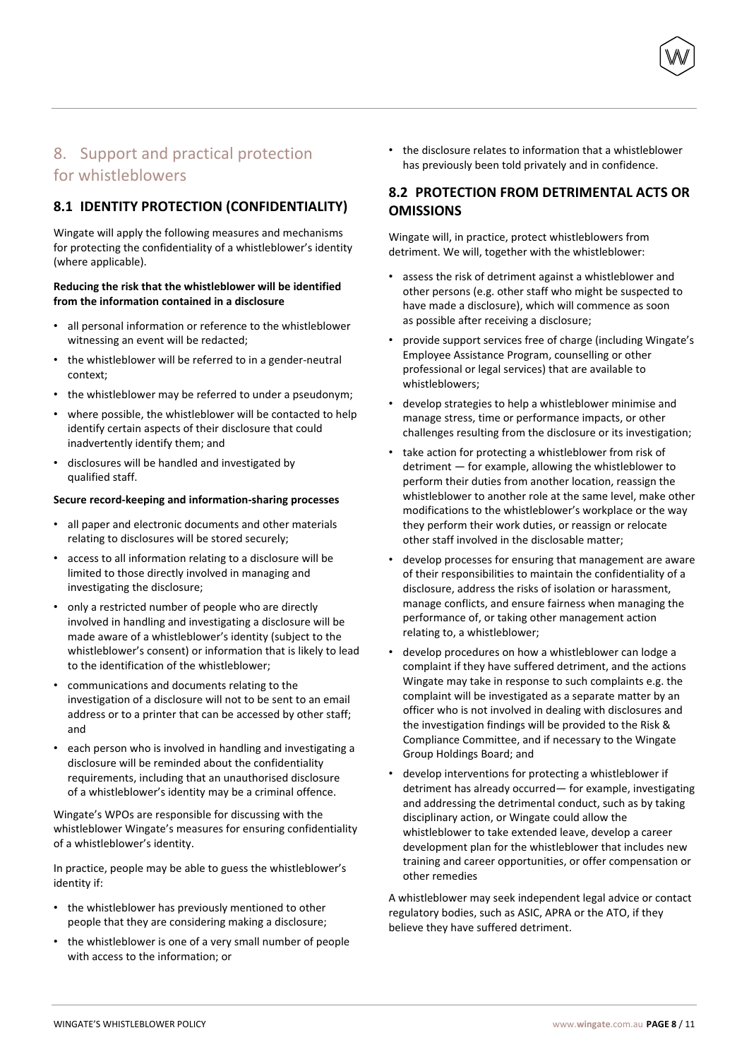# 8. Support and practical protection for whistleblowers

## **8.1 IDENTITY PROTECTION (CONFIDENTIALITY)**

Wingate will apply the following measures and mechanisms for protecting the confidentiality of a whistleblower's identity (where applicable).

#### **Reducing the risk that the whistleblower will be identified from the information contained in a disclosure**

- all personal information or reference to the whistleblower witnessing an event will be redacted;
- the whistleblower will be referred to in a gender-neutral context;
- the whistleblower may be referred to under a pseudonym:
- where possible, the whistleblower will be contacted to help identify certain aspects of their disclosure that could inadvertently identify them; and
- disclosures will be handled and investigated by qualified staff.

#### **Secure record-keeping and information-sharing processes**

- all paper and electronic documents and other materials relating to disclosures will be stored securely;
- access to all information relating to a disclosure will be limited to those directly involved in managing and investigating the disclosure;
- only a restricted number of people who are directly involved in handling and investigating a disclosure will be made aware of a whistleblower's identity (subject to the whistleblower's consent) or information that is likely to lead to the identification of the whistleblower;
- communications and documents relating to the investigation of a disclosure will not to be sent to an email address or to a printer that can be accessed by other staff; and
- each person who is involved in handling and investigating a disclosure will be reminded about the confidentiality requirements, including that an unauthorised disclosure of a whistleblower's identity may be a criminal offence.

Wingate's WPOs are responsible for discussing with the whistleblower Wingate's measures for ensuring confidentiality of a whistleblower's identity.

In practice, people may be able to guess the whistleblower's identity if:

- the whistleblower has previously mentioned to other people that they are considering making a disclosure;
- the whistleblower is one of a very small number of people with access to the information; or

• the disclosure relates to information that a whistleblower has previously been told privately and in confidence.

## **8.2 PROTECTION FROM DETRIMENTAL ACTS OR OMISSIONS**

Wingate will, in practice, protect whistleblowers from detriment. We will, together with the whistleblower:

- assess the risk of detriment against a whistleblower and other persons (e.g. other staff who might be suspected to have made a disclosure), which will commence as soon as possible after receiving a disclosure;
- provide support services free of charge (including Wingate's Employee Assistance Program, counselling or other professional or legal services) that are available to whistleblowers;
- develop strategies to help a whistleblower minimise and manage stress, time or performance impacts, or other challenges resulting from the disclosure or its investigation;
- take action for protecting a whistleblower from risk of detriment — for example, allowing the whistleblower to perform their duties from another location, reassign the whistleblower to another role at the same level, make other modifications to the whistleblower's workplace or the way they perform their work duties, or reassign or relocate other staff involved in the disclosable matter;
- develop processes for ensuring that management are aware of their responsibilities to maintain the confidentiality of a disclosure, address the risks of isolation or harassment, manage conflicts, and ensure fairness when managing the performance of, or taking other management action relating to, a whistleblower;
- develop procedures on how a whistleblower can lodge a complaint if they have suffered detriment, and the actions Wingate may take in response to such complaints e.g. the complaint will be investigated as a separate matter by an officer who is not involved in dealing with disclosures and the investigation findings will be provided to the Risk & Compliance Committee, and if necessary to the Wingate Group Holdings Board; and
- develop interventions for protecting a whistleblower if detriment has already occurred— for example, investigating and addressing the detrimental conduct, such as by taking disciplinary action, or Wingate could allow the whistleblower to take extended leave, develop a career development plan for the whistleblower that includes new training and career opportunities, or offer compensation or other remedies

A whistleblower may seek independent legal advice or contact regulatory bodies, such as ASIC, APRA or the ATO, if they believe they have suffered detriment.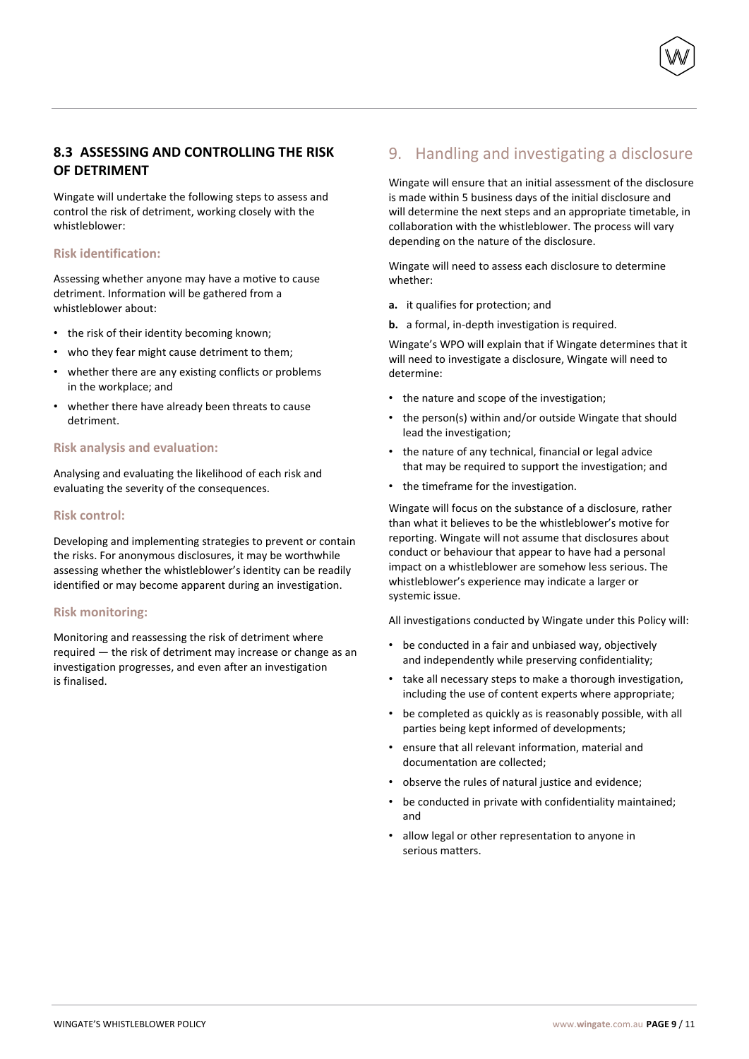## **8.3 ASSESSING AND CONTROLLING THE RISK OF DETRIMENT**

Wingate will undertake the following steps to assess and control the risk of detriment, working closely with the whistleblower:

#### **Risk identification:**

Assessing whether anyone may have a motive to cause detriment. Information will be gathered from a whistleblower about:

- the risk of their identity becoming known;
- who they fear might cause detriment to them;
- whether there are any existing conflicts or problems in the workplace; and
- whether there have already been threats to cause detriment.

#### **Risk analysis and evaluation:**

Analysing and evaluating the likelihood of each risk and evaluating the severity of the consequences.

#### **Risk control:**

Developing and implementing strategies to prevent or contain the risks. For anonymous disclosures, it may be worthwhile assessing whether the whistleblower's identity can be readily identified or may become apparent during an investigation.

#### **Risk monitoring:**

Monitoring and reassessing the risk of detriment where required — the risk of detriment may increase or change as an investigation progresses, and even after an investigation is finalised.

# 9. Handling and investigating a disclosure

Wingate will ensure that an initial assessment of the disclosure is made within 5 business days of the initial disclosure and will determine the next steps and an appropriate timetable, in collaboration with the whistleblower. The process will vary depending on the nature of the disclosure.

Wingate will need to assess each disclosure to determine whether:

- **a.** it qualifies for protection; and
- **b.** a formal, in-depth investigation is required.

Wingate's WPO will explain that if Wingate determines that it will need to investigate a disclosure, Wingate will need to determine:

- the nature and scope of the investigation;
- the person(s) within and/or outside Wingate that should lead the investigation;
- the nature of any technical, financial or legal advice that may be required to support the investigation; and
- the timeframe for the investigation.

Wingate will focus on the substance of a disclosure, rather than what it believes to be the whistleblower's motive for reporting. Wingate will not assume that disclosures about conduct or behaviour that appear to have had a personal impact on a whistleblower are somehow less serious. The whistleblower's experience may indicate a larger or systemic issue.

All investigations conducted by Wingate under this Policy will:

- be conducted in a fair and unbiased way, objectively and independently while preserving confidentiality;
- take all necessary steps to make a thorough investigation, including the use of content experts where appropriate;
- be completed as quickly as is reasonably possible, with all parties being kept informed of developments;
- ensure that all relevant information, material and documentation are collected;
- observe the rules of natural justice and evidence;
- be conducted in private with confidentiality maintained; and
- allow legal or other representation to anyone in serious matters.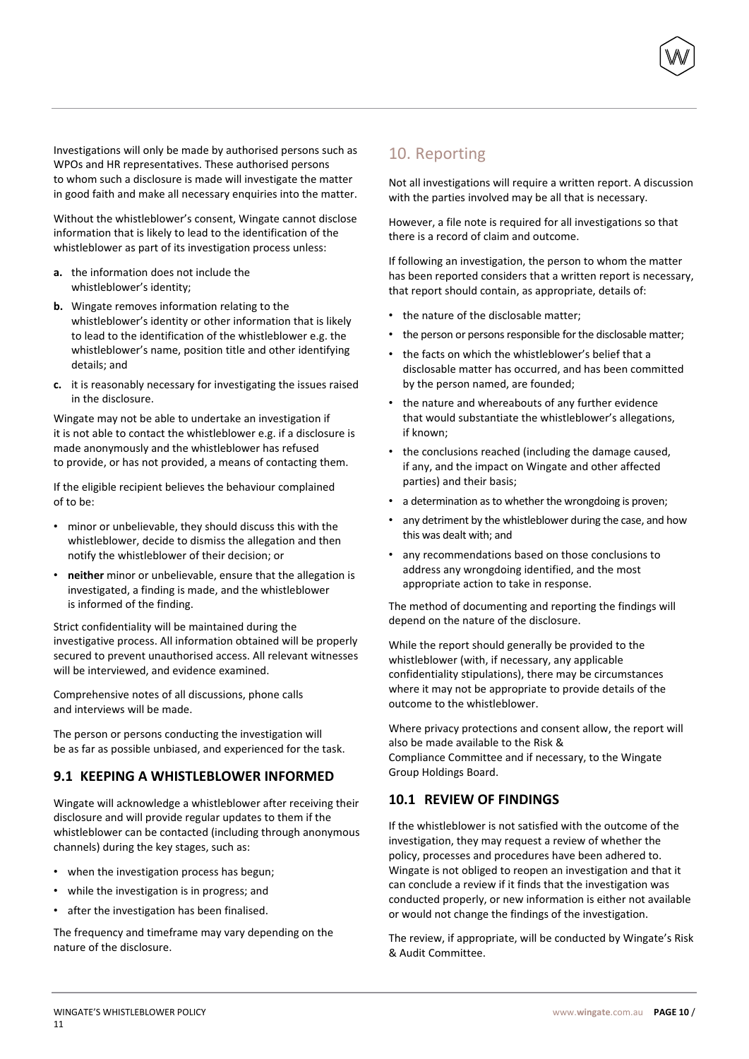Investigations will only be made by authorised persons such as WPOs and HR representatives. These authorised persons to whom such a disclosure is made will investigate the matter in good faith and make all necessary enquiries into the matter.

Without the whistleblower's consent, Wingate cannot disclose information that is likely to lead to the identification of the whistleblower as part of its investigation process unless:

- **a.** the information does not include the whistleblower's identity;
- **b.** Wingate removes information relating to the whistleblower's identity or other information that is likely to lead to the identification of the whistleblower e.g. the whistleblower's name, position title and other identifying details; and
- **c.** it is reasonably necessary for investigating the issues raised in the disclosure.

Wingate may not be able to undertake an investigation if it is not able to contact the whistleblower e.g. if a disclosure is made anonymously and the whistleblower has refused to provide, or has not provided, a means of contacting them.

If the eligible recipient believes the behaviour complained of to be:

- minor or unbelievable, they should discuss this with the whistleblower, decide to dismiss the allegation and then notify the whistleblower of their decision; or
- **neither** minor or unbelievable, ensure that the allegation is investigated, a finding is made, and the whistleblower is informed of the finding.

Strict confidentiality will be maintained during the investigative process. All information obtained will be properly secured to prevent unauthorised access. All relevant witnesses will be interviewed, and evidence examined.

Comprehensive notes of all discussions, phone calls and interviews will be made.

The person or persons conducting the investigation will be as far as possible unbiased, and experienced for the task.

## **9.1 KEEPING A WHISTLEBLOWER INFORMED**

Wingate will acknowledge a whistleblower after receiving their disclosure and will provide regular updates to them if the whistleblower can be contacted (including through anonymous channels) during the key stages, such as:

- when the investigation process has begun;
- while the investigation is in progress; and
- after the investigation has been finalised.

The frequency and timeframe may vary depending on the nature of the disclosure.

# 10. Reporting

Not all investigations will require a written report. A discussion with the parties involved may be all that is necessary.

However, a file note is required for all investigations so that there is a record of claim and outcome.

If following an investigation, the person to whom the matter has been reported considers that a written report is necessary, that report should contain, as appropriate, details of:

- the nature of the disclosable matter;
- the person or persons responsible for the disclosable matter;
- the facts on which the whistleblower's belief that a disclosable matter has occurred, and has been committed by the person named, are founded;
- the nature and whereabouts of any further evidence that would substantiate the whistleblower's allegations, if known;
- the conclusions reached (including the damage caused, if any, and the impact on Wingate and other affected parties) and their basis;
- a determination as to whether the wrongdoing is proven;
- any detriment by the whistleblower during the case, and how this was dealt with; and
- any recommendations based on those conclusions to address any wrongdoing identified, and the most appropriate action to take in response.

The method of documenting and reporting the findings will depend on the nature of the disclosure.

While the report should generally be provided to the whistleblower (with, if necessary, any applicable confidentiality stipulations), there may be circumstances where it may not be appropriate to provide details of the outcome to the whistleblower.

Where privacy protections and consent allow, the report will also be made available to the Risk & Compliance Committee and if necessary, to the Wingate Group Holdings Board.

#### **10.1 REVIEW OF FINDINGS**

If the whistleblower is not satisfied with the outcome of the investigation, they may request a review of whether the policy, processes and procedures have been adhered to. Wingate is not obliged to reopen an investigation and that it can conclude a review if it finds that the investigation was conducted properly, or new information is either not available or would not change the findings of the investigation.

The review, if appropriate, will be conducted by Wingate's Risk & Audit Committee.